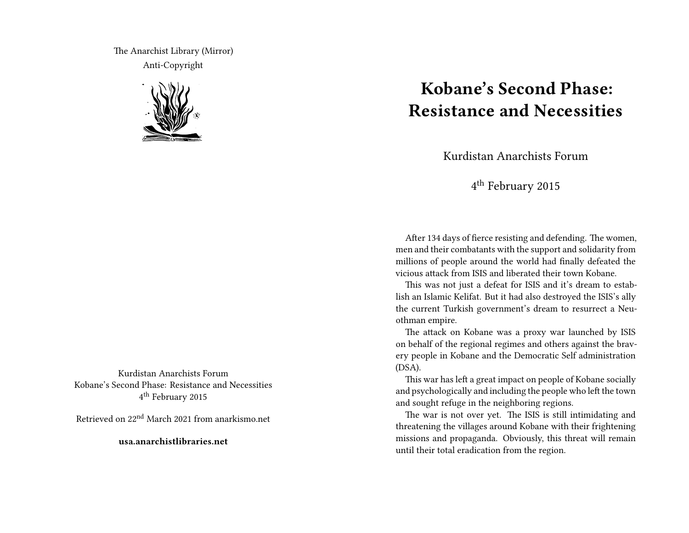The Anarchist Library (Mirror) Anti-Copyright



Kurdistan Anarchists Forum Kobane's Second Phase: Resistance and Necessities 4<sup>th</sup> February 2015

Retrieved on 22nd March 2021 from anarkismo.net

**usa.anarchistlibraries.net**

## **Kobane's Second Phase: Resistance and Necessities**

Kurdistan Anarchists Forum

4<sup>th</sup> February 2015

After 134 days of fierce resisting and defending. The women, men and their combatants with the support and solidarity from millions of people around the world had finally defeated the vicious attack from ISIS and liberated their town Kobane.

This was not just a defeat for ISIS and it's dream to establish an Islamic Kelifat. But it had also destroyed the ISIS's ally the current Turkish government's dream to resurrect a Neuothman empire.

The attack on Kobane was a proxy war launched by ISIS on behalf of the regional regimes and others against the bravery people in Kobane and the Democratic Self administration (DSA).

This war has left a great impact on people of Kobane socially and psychologically and including the people who left the town and sought refuge in the neighboring regions.

The war is not over yet. The ISIS is still intimidating and threatening the villages around Kobane with their frightening missions and propaganda. Obviously, this threat will remain until their total eradication from the region.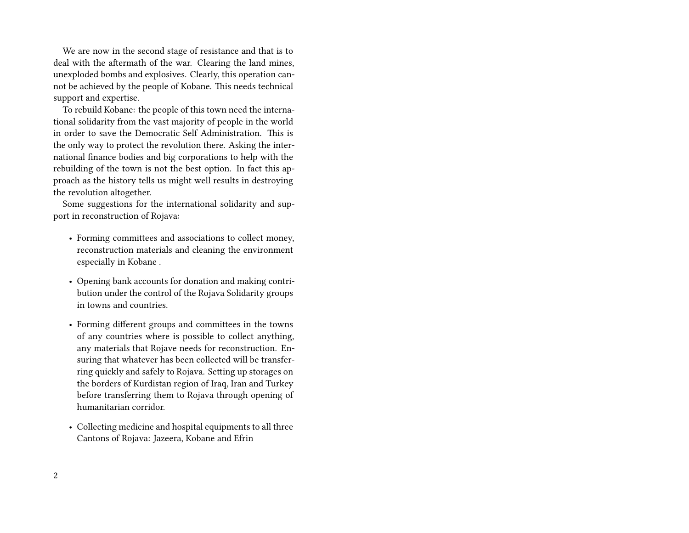We are now in the second stage of resistance and that is to deal with the aftermath of the war. Clearing the land mines, unexploded bombs and explosives. Clearly, this operation cannot be achieved by the people of Kobane. This needs technical support and expertise.

To rebuild Kobane: the people of this town need the international solidarity from the vast majority of people in the world in order to save the Democratic Self Administration. This is the only way to protect the revolution there. Asking the international finance bodies and big corporations to help with the rebuilding of the town is not the best option. In fact this approach as the history tells us might well results in destroying the revolution altogether.

Some suggestions for the international solidarity and support in reconstruction of Rojava:

- Forming committees and associations to collect money, reconstruction materials and cleaning the environment especially in Kobane .
- Opening bank accounts for donation and making contribution under the control of the Rojava Solidarity groups in towns and countries.
- Forming different groups and committees in the towns of any countries where is possible to collect anything, any materials that Rojave needs for reconstruction. Ensuring that whatever has been collected will be transferring quickly and safely to Rojava. Setting up storages on the borders of Kurdistan region of Iraq, Iran and Turkey before transferring them to Rojava through opening of humanitarian corridor.
- Collecting medicine and hospital equipments to all three Cantons of Rojava: Jazeera, Kobane and Efrin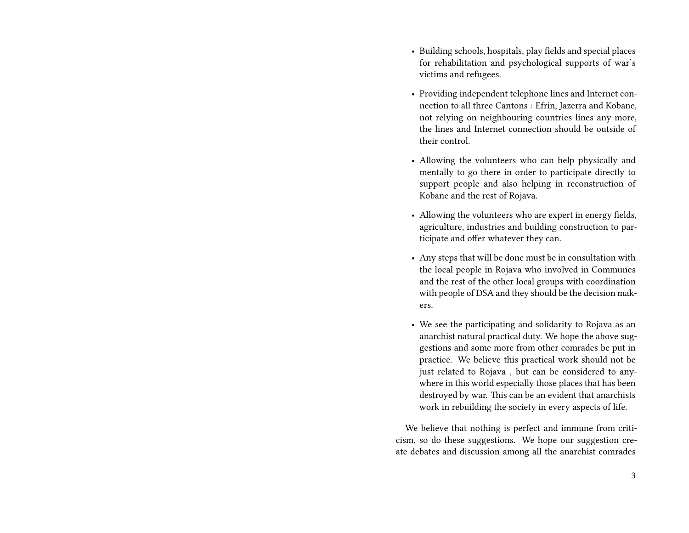- Building schools, hospitals, play fields and special places for rehabilitation and psychological supports of war's victims and refugees.
- Providing independent telephone lines and Internet connection to all three Cantons : Efrin, Jazerra and Kobane, not relying on neighbouring countries lines any more, the lines and Internet connection should be outside of their control.
- Allowing the volunteers who can help physically and mentally to go there in order to participate directly to support people and also helping in reconstruction of Kobane and the rest of Rojava.
- Allowing the volunteers who are expert in energy fields, agriculture, industries and building construction to participate and offer whatever they can.
- Any steps that will be done must be in consultation with the local people in Rojava who involved in Communes and the rest of the other local groups with coordination with people of DSA and they should be the decision makers.
- We see the participating and solidarity to Rojava as an anarchist natural practical duty. We hope the above suggestions and some more from other comrades be put in practice. We believe this practical work should not be just related to Rojava , but can be considered to anywhere in this world especially those places that has been destroyed by war. This can be an evident that anarchists work in rebuilding the society in every aspects of life.

We believe that nothing is perfect and immune from criticism, so do these suggestions. We hope our suggestion create debates and discussion among all the anarchist comrades